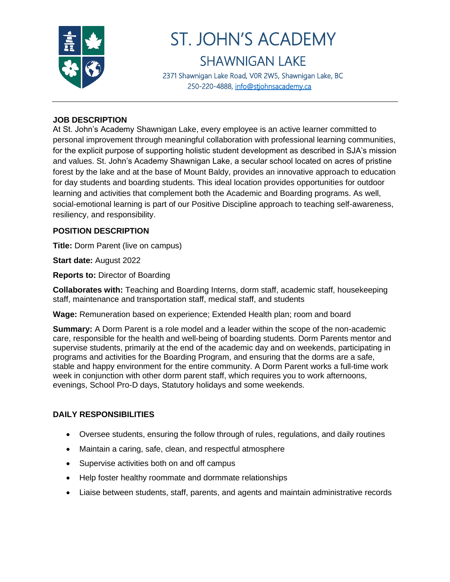

# ST. JOHN'S ACADEMY SHAWNIGAN LAKE

2371 Shawnigan Lake Road, V0R 2W5, Shawnigan Lake, BC 250-220-4888, [info@stjohnsacademy.ca](mailto:info@stjohnsacademy.ca)

#### **JOB DESCRIPTION**

At St. John's Academy Shawnigan Lake, every employee is an active learner committed to personal improvement through meaningful collaboration with professional learning communities, for the explicit purpose of supporting holistic student development as described in SJA's mission and values. St. John's Academy Shawnigan Lake, a secular school located on acres of pristine forest by the lake and at the base of Mount Baldy, provides an innovative approach to education for day students and boarding students. This ideal location provides opportunities for outdoor learning and activities that complement both the Academic and Boarding programs. As well, social-emotional learning is part of our Positive Discipline approach to teaching self-awareness, resiliency, and responsibility.

#### **POSITION DESCRIPTION**

**Title:** Dorm Parent (live on campus)

**Start date:** August 2022

**Reports to:** Director of Boarding

**Collaborates with:** Teaching and Boarding Interns, dorm staff, academic staff, housekeeping staff, maintenance and transportation staff, medical staff, and students

**Wage:** Remuneration based on experience; Extended Health plan; room and board

**Summary:** A Dorm Parent is a role model and a leader within the scope of the non-academic care, responsible for the health and well-being of boarding students. Dorm Parents mentor and supervise students, primarily at the end of the academic day and on weekends, participating in programs and activities for the Boarding Program, and ensuring that the dorms are a safe, stable and happy environment for the entire community. A Dorm Parent works a full-time work week in conjunction with other dorm parent staff, which requires you to work afternoons, evenings, School Pro-D days, Statutory holidays and some weekends.

#### **DAILY RESPONSIBILITIES**

- Oversee students, ensuring the follow through of rules, regulations, and daily routines
- Maintain a caring, safe, clean, and respectful atmosphere
- Supervise activities both on and off campus
- Help foster healthy roommate and dormmate relationships
- Liaise between students, staff, parents, and agents and maintain administrative records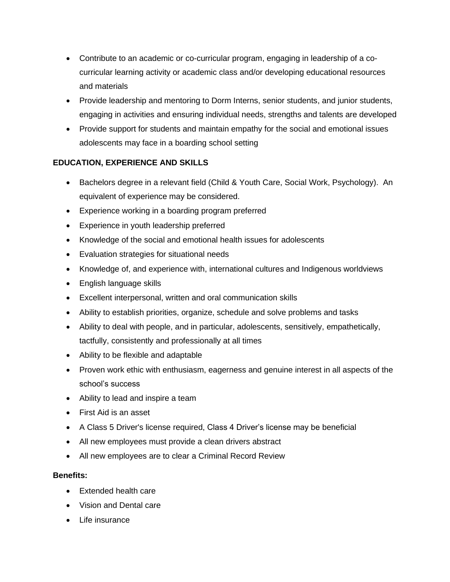- Contribute to an academic or co-curricular program, engaging in leadership of a cocurricular learning activity or academic class and/or developing educational resources and materials
- Provide leadership and mentoring to Dorm Interns, senior students, and junior students, engaging in activities and ensuring individual needs, strengths and talents are developed
- Provide support for students and maintain empathy for the social and emotional issues adolescents may face in a boarding school setting

## **EDUCATION, EXPERIENCE AND SKILLS**

- Bachelors degree in a relevant field (Child & Youth Care, Social Work, Psychology). An equivalent of experience may be considered.
- Experience working in a boarding program preferred
- Experience in youth leadership preferred
- Knowledge of the social and emotional health issues for adolescents
- Evaluation strategies for situational needs
- Knowledge of, and experience with, international cultures and Indigenous worldviews
- English language skills
- Excellent interpersonal, written and oral communication skills
- Ability to establish priorities, organize, schedule and solve problems and tasks
- Ability to deal with people, and in particular, adolescents, sensitively, empathetically, tactfully, consistently and professionally at all times
- Ability to be flexible and adaptable
- Proven work ethic with enthusiasm, eagerness and genuine interest in all aspects of the school's success
- Ability to lead and inspire a team
- First Aid is an asset
- A Class 5 Driver's license required, Class 4 Driver's license may be beneficial
- All new employees must provide a clean drivers abstract
- All new employees are to clear a Criminal Record Review

#### **Benefits:**

- Extended health care
- Vision and Dental care
- Life insurance